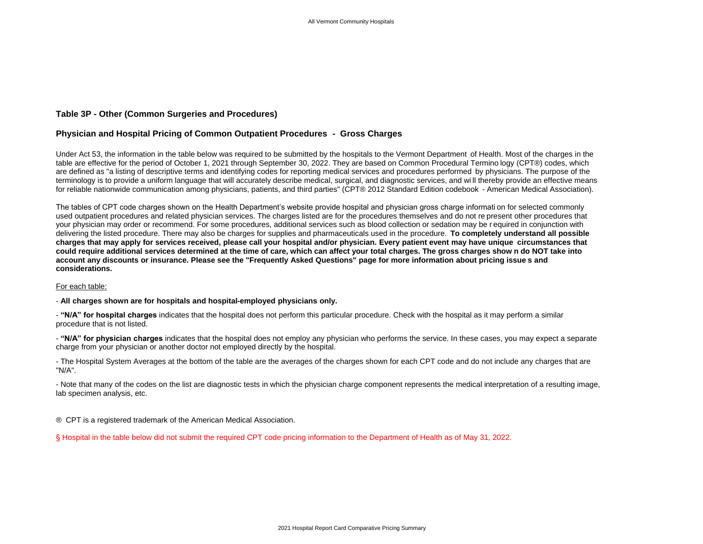## **Table 3P - Other (Common Surgeries and Procedures)**

## **Physician and Hospital Pricing of Common Outpatient Procedures - Gross Charges**

Under Act 53, the information in the table below was required to be submitted by the hospitals to the Vermont Department of Health. Most of the charges in the table are effective for the period of October 1, 2021 through September 30, 2022. They are based on Common Procedural Termino logy (CPT®) codes, which are defined as "a listing of descriptive terms and identifying codes for reporting medical services and procedures performed by physicians. The purpose of the terminology is to provide a uniform language that will accurately describe medical, surgical, and diagnostic services, and wi ll thereby provide an effective means for reliable nationwide communication among physicians, patients, and third parties" (CPT® 2012 Standard Edition codebook - American Medical Association).

The tables of CPT code charges shown on the Health Department's website provide hospital and physician gross charge informati on for selected commonly used outpatient procedures and related physician services. The charges listed are for the procedures themselves and do not re present other procedures that your physician may order or recommend. For some procedures, additional services such as blood collection or sedation may be r equired in conjunction with delivering the listed procedure. There may also be charges for supplies and pharmaceuticals used in the procedure. **To completely understand all possible charges that may apply for services received, please call your hospital and/or physician. Every patient event may have unique circumstances that could require additional services determined at the time of care, which can affect your total charges. The gross charges show n do NOT take into account any discounts or insurance. Please see the "Frequently Asked Questions" page for more information about pricing issue s and considerations.**

## For each table:

- **All charges shown are for hospitals and hospital-employed physicians only.**

- **"N/A" for hospital charges** indicates that the hospital does not perform this particular procedure. Check with the hospital as it may perform a similar procedure that is not listed.

- **"N/A" for physician charges** indicates that the hospital does not employ any physician who performs the service. In these cases, you may expect a separate charge from your physician or another doctor not employed directly by the hospital.

- The Hospital System Averages at the bottom of the table are the averages of the charges shown for each CPT code and do not include any charges that are "N/A".

- Note that many of the codes on the list are diagnostic tests in which the physician charge component represents the medical interpretation of a resulting image, lab specimen analysis, etc.

® CPT is a registered trademark of the American Medical Association.

§ Hospital in the table below did not submit the required CPT code pricing information to the Department of Health as of May 31, 2022.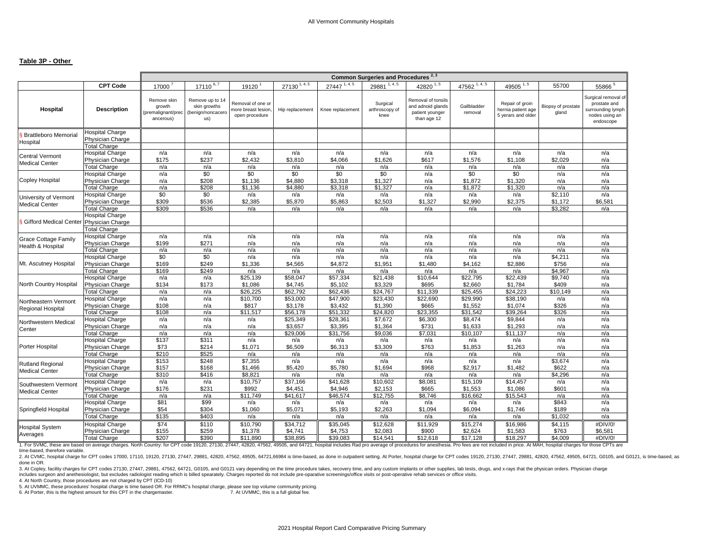## **Table 3P - Other**

|                                                  |                                                                   | Common Surgeries and Procedures <sup>2, 3</sup>         |                                                             |                                                            |                                 |                                 |                                    |                                                                           |                                 |                                                             |                               |                                                                                         |
|--------------------------------------------------|-------------------------------------------------------------------|---------------------------------------------------------|-------------------------------------------------------------|------------------------------------------------------------|---------------------------------|---------------------------------|------------------------------------|---------------------------------------------------------------------------|---------------------------------|-------------------------------------------------------------|-------------------------------|-----------------------------------------------------------------------------------------|
|                                                  | <b>CPT Code</b>                                                   | 17000                                                   | 17110 6, 7                                                  | 19120                                                      | $27130^{1,4,5}$                 | $27447^{1,4,5}$                 | 29881 1, 4, 5                      | 42820 1, 5                                                                | 47562 $1, 4, 5$                 | 49505 $1,5$                                                 | 55700                         | 55866 <sup>5</sup>                                                                      |
| Hospital                                         | <b>Description</b>                                                | Remove skin<br>growth<br>premalignant/prec<br>ancerous) | Remove up to 14<br>skin growths<br>(benign/noncacerd<br>us) | Removal of one or<br>nore breast lesion.<br>open procedure | Hip replacement                 | Knee replacement                | Surgical<br>arthroscopy of<br>knee | Removal of tonsils<br>and adnoid glands<br>patient younger<br>than age 12 | Gallbladder<br>removal          | Repair of groin<br>hernia patient age<br>5 yerars and older | Biopsy of prostate<br>gland   | Surgical removal of<br>prostate and<br>surrounding lymph<br>nodes using an<br>endoscope |
| <b>S</b> Brattleboro Memorial<br>Hospital        | Hospital Charge<br>Physician Charge<br><b>Total Charge</b>        |                                                         |                                                             |                                                            |                                 |                                 |                                    |                                                                           |                                 |                                                             |                               |                                                                                         |
| <b>Central Vermont</b><br><b>Medical Center</b>  | <b>Hospital Charge</b><br>Physician Charge<br><b>Total Charge</b> | n/a<br>\$175<br>n/a                                     | n/a<br>\$237<br>n/a                                         | n/a<br>\$2,432<br>n/a                                      | n/a<br>\$3,810<br>n/a           | n/a<br>\$4,066<br>n/a           | n/a<br>\$1,626<br>n/a              | n/a<br>\$617<br>n/a                                                       | n/a<br>\$1,576<br>n/a           | n/a<br>\$1,108<br>n/a                                       | n/a<br>\$2,029<br>n/a         | n/a<br>n/a<br>n/a                                                                       |
| <b>Copley Hospital</b>                           | <b>Hospital Charge</b><br>Physician Charge<br><b>Total Charge</b> | n/a<br>n/a<br>n/a                                       | \$0<br>\$208<br>\$208                                       | \$0<br>\$1,136<br>\$1,136                                  | \$0<br>\$4,880<br>\$4,880       | \$0<br>\$3,318<br>\$3,318       | \$0<br>\$1,327<br>\$1,327          | n/a<br>n/a<br>n/a                                                         | \$0<br>\$1,872<br>\$1,872       | \$0<br>\$1,320<br>\$1,320                                   | n/a<br>n/a<br>n/a             | n/a<br>n/a<br>n/a                                                                       |
| University of Vermont<br><b>Medical Center</b>   | <b>Hospital Charge</b><br>Physician Charge<br><b>Total Charge</b> | \$0<br>\$309<br>\$309                                   | $\sqrt{60}$<br>\$536<br>\$536                               | n/a<br>\$2,385<br>n/a                                      | n/a<br>\$5,870<br>n/a           | n/a<br>\$5,863<br>n/a           | n/a<br>\$2,503<br>n/a              | n/a<br>\$1,327<br>n/a                                                     | n/a<br>\$2,990<br>n/a           | n/a<br>\$2,375<br>n/a                                       | \$2,110<br>\$1,172<br>\$3,282 | n/a<br>\$6,581<br>n/a                                                                   |
| S Gifford Medical Center Physician Charge        | Hospital Charge<br><b>Total Charge</b>                            |                                                         |                                                             |                                                            |                                 |                                 |                                    |                                                                           |                                 |                                                             |                               |                                                                                         |
| <b>Grace Cottage Family</b><br>Health & Hospital | <b>Hospital Charge</b><br>Physician Charge<br><b>Total Charge</b> | n/a<br>\$199<br>n/a                                     | n/a<br>\$271<br>n/a                                         | n/a<br>n/a<br>n/a                                          | n/a<br>n/a<br>n/a               | n/a<br>n/a<br>n/a               | n/a<br>n/a<br>n/a                  | n/a<br>n/a<br>n/a                                                         | n/a<br>n/a<br>n/a               | n/a<br>n/a<br>n/a                                           | n/a<br>n/a<br>n/a             | n/a<br>n/a<br>n/a                                                                       |
| Mt. Ascutney Hospital                            | <b>Hospital Charge</b><br>Physician Charge<br>Total Charge        | \$0<br>\$169<br>\$169                                   | \$0<br>\$249<br>\$249                                       | n/a<br>\$1,336<br>n/a                                      | n/a<br>\$4,565<br>n/a           | n/a<br>\$4,872<br>n/a           | n/a<br>\$1,951<br>n/a              | n/a<br>\$1,480<br>n/a                                                     | n/a<br>\$4,162<br>n/a           | n/a<br>\$2,886<br>n/a                                       | \$4,211<br>\$756<br>\$4,967   | n/a<br>n/a<br>n/a                                                                       |
| North Country Hospital                           | Hospital Charge<br>Physician Charge<br><b>Total Charge</b>        | n/a<br>\$134<br>n/a                                     | n/a<br>\$173<br>n/a                                         | \$25,139<br>\$1,086<br>\$26,225                            | \$58,047<br>\$4,745<br>\$62,792 | \$57,334<br>\$5,102<br>\$62,436 | \$21,438<br>\$3,329<br>\$24,767    | \$10,644<br>\$695<br>\$11,339                                             | \$22,795<br>\$2,660<br>\$25,455 | \$22,439<br>\$1,784<br>\$24,223                             | \$9,740<br>\$409<br>\$10,149  | n/a<br>n/a<br>n/a                                                                       |
| Northeastern Vermont<br>Regional Hospital        | Hospital Charge<br>Physician Charge<br><b>Total Charge</b>        | n/a<br>\$108<br>\$108                                   | n/a<br>n/a<br>n/a                                           | \$10,700<br>\$817<br>\$11,517                              | \$53,000<br>\$3,178<br>\$56,178 | \$47,900<br>\$3,432<br>\$51,332 | \$23,430<br>\$1,390<br>\$24,820    | \$22,690<br>\$665<br>\$23,355                                             | \$29,990<br>\$1,552<br>\$31,542 | \$38,190<br>\$1,074<br>\$39,264                             | n/a<br>\$326<br>\$326         | n/a<br>n/a<br>n/a                                                                       |
| Northwestern Medical<br>Center                   | Hospital Charge<br>Physician Charge<br><b>Total Charge</b>        | n/a<br>n/a<br>n/a                                       | n/a<br>n/a<br>n/a                                           | n/a<br>n/a<br>n/a                                          | \$25,349<br>\$3,657<br>\$29,006 | \$28,361<br>\$3,395<br>\$31,756 | \$7,672<br>\$1,364<br>\$9,036      | \$6,300<br>\$731<br>\$7,031                                               | \$8,474<br>\$1,633<br>\$10,107  | \$9,844<br>\$1,293<br>\$11,137                              | n/a<br>n/a<br>n/a             | n/a<br>n/a<br>n/a                                                                       |
| Porter Hospital                                  | <b>Hospital Charge</b><br>Physician Charge<br><b>Total Charge</b> | \$137<br>\$73<br>\$210                                  | \$311<br>\$214<br>\$525                                     | n/a<br>\$1,071<br>n/a                                      | n/a<br>\$6,509<br>n/a           | n/a<br>\$6,313<br>n/a           | n/a<br>\$3,309<br>n/a              | n/a<br>\$763<br>n/a                                                       | n/a<br>\$1,853<br>n/a           | n/a<br>\$1,263<br>n/a                                       | n/a<br>n/a<br>n/a             | n/a<br>n/a<br>n/a                                                                       |
| <b>Rutland Regional</b><br><b>Medical Center</b> | Hospital Charge<br>Physician Charge<br><b>Total Charge</b>        | \$153<br>\$157<br>\$310                                 | \$248<br>\$168<br>\$416                                     | \$7,355<br>\$1,466<br>\$8,821                              | n/a<br>\$5,420<br>n/a           | n/a<br>\$5,780<br>n/a           | n/a<br>\$1,694<br>n/a              | n/a<br>\$968<br>n/a                                                       | n/a<br>\$2,917<br>n/a           | n/a<br>\$1,482<br>n/a                                       | \$3,674<br>\$622<br>\$4,296   | n/a<br>n/a<br>n/a                                                                       |
| Southwestern Vermont<br><b>Medical Center</b>    | Hospital Charge<br>Physician Charge<br>Total Charge               | n/a<br>\$176<br>n/a                                     | n/a<br>\$231<br>n/a                                         | \$10,757<br>\$992<br>\$11,749                              | \$37,166<br>\$4,451<br>\$41,617 | \$41,628<br>\$4,946<br>\$46,574 | \$10,602<br>\$2,153<br>\$12,755    | \$8,081<br>\$665<br>\$8,746                                               | \$15,109<br>\$1,553<br>\$16,662 | \$14,457<br>\$1,086<br>\$15,543                             | n/a<br>\$601<br>n/a           | n/a<br>n/a<br>n/a                                                                       |
| Springfield Hospital                             | <b>Hospital Charge</b><br>Physician Charge<br><b>Total Charge</b> | \$81<br>\$54<br>\$135                                   | \$99<br>\$304<br>\$403                                      | n/a<br>\$1,060<br>n/a                                      | n/a<br>\$5,071<br>n/a           | n/a<br>\$5,193<br>n/a           | n/a<br>\$2,263<br>n/a              | n/a<br>\$1,094<br>n/a                                                     | n/a<br>\$6,094<br>n/a           | n/a<br>\$1,746<br>n/a                                       | \$843<br>\$189<br>\$1,032     | n/a<br>n/a<br>n/a                                                                       |
| <b>Hospital System</b><br>Averages               | Hospital Charge<br>Physician Charge<br><b>Total Charge</b>        | \$74<br>\$155<br>\$207                                  | \$110<br>\$259<br>\$390                                     | \$10,790<br>\$1,378<br>\$11,890                            | \$34,712<br>\$4,741<br>\$38,895 | \$35,045<br>\$4,753<br>\$39,083 | \$12,628<br>\$2,083<br>\$14,541    | \$11,929<br>\$900<br>\$12,618                                             | \$15,274<br>\$2,624<br>\$17,128 | \$16,986<br>\$1,583<br>\$18,297                             | \$4,115<br>\$763<br>\$4,009   | #DIV/0!<br>\$6,581<br>#DIV/0!                                                           |

1. For SVMC, these are based on average charges. North Country: for CPT code 19120, 27130, 27447, 42820, 47562, 49505, and 64721, hospital includes Rad pro average of procedures for anesthesia. Pro fees are not included in time-based, therefore variable.

2. At CVMC, hospital charge for CPT codes 17000, 17110, 19120, 27130, 27447, 29881, 42820, 47562, 49505, 64721, 66984 is time-based, as done in outpatient setting. At Porter, hospital charge for CPT codes 19120, 27140, 274 done in OR.

3. At Copley, facility charges for CPT codes 27130, 27447, 29881, 47562, 64721, G0105, and G0121 vary depending on the time procedure takes, recovery time, and any custom implants or other supplies, lab tests, drugs, and x includes surgeon and anethesiologist, but excludes radiologist reading which is billed spearately. Charges reported do not include pre-oparative screenings/office visits or post-operative rehab services or office visits.

4. At North Country, those procedures are not charged by CPT (ICD-10)

5. At UVMMC, these procedures' hospital charge is time based OR. For RRMC's hospital charge, please see top volume community pricing.<br>6. At Porter, this is the highest amount for this CPT in the chargemaster. 7. At UVMMC,

6. At Porter, this is the highest amount for this CPT in the chargemaster.